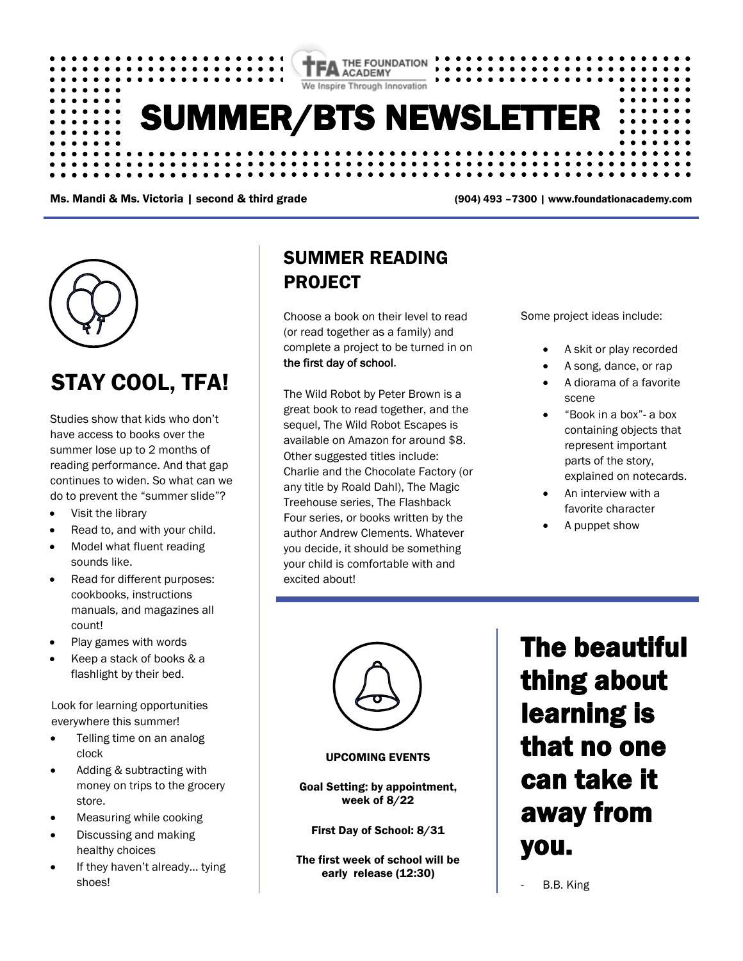

Ms. Mandi & Ms. Victoria | second & third grade (904) 493 –7300 | www.foundationacademy.com



## STAY COOL, TFA!

Studies show that kids who don't have access to books over the summer lose up to 2 months of reading performance. And that gap continues to widen. So what can we do to prevent the "summer slide"?

- Visit the library
- Read to, and with your child.
- Model what fluent reading sounds like.
- Read for different purposes: cookbooks, instructions manuals, and magazines all count!
- Play games with words
- Keep a stack of books & a flashlight by their bed.

Look for learning opportunities everywhere this summer!

- Telling time on an analog clock
- Adding & subtracting with money on trips to the grocery store.
- Measuring while cooking
- Discussing and making healthy choices
- If they haven't already... tying shoes!

### SUMMER READING PROJECT

Choose a book on their level to read (or read together as a family) and complete a project to be turned in on the first day of school.

The Wild Robot by Peter Brown is a great book to read together, and the sequel, The Wild Robot Escapes is available on Amazon for around \$8. Other suggested titles include: Charlie and the Chocolate Factory (or any title by Roald Dahl), The Magic Treehouse series, The Flashback Four series, or books written by the author Andrew Clements. Whatever you decide, it should be something your child is comfortable with and excited about!

Some project ideas include:

- A skit or play recorded
- A song, dance, or rap
- A diorama of a favorite scene
- "Book in a box"- a box containing objects that represent important parts of the story, explained on notecards.
- An interview with a favorite character
- A puppet show



#### UPCOMING EVENTS

Goal Setting: by appointment, week of 8/22

First Day of School: 8/31

The first week of school will be early release (12:30)

The beautiful thing about learning is that no one can take it away from you.

B.B. King